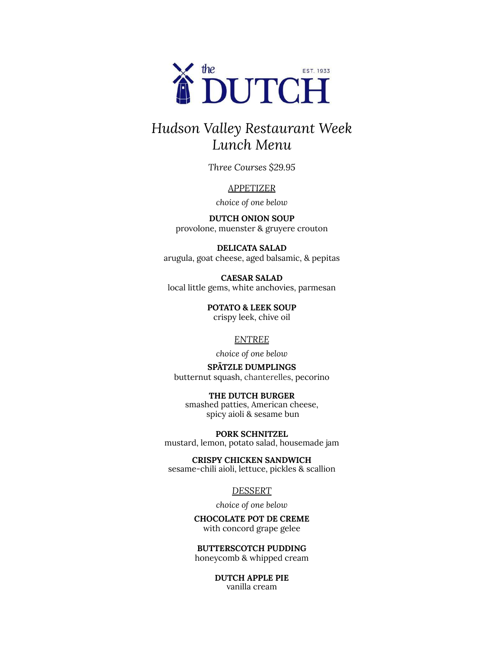

# *Hudson Valley Restaurant Week Lunch Menu*

*Three Courses \$29.95*

#### *APPETIZER*

*choice of one below*

**DUTCH ONION SOUP** provolone, muenster & gruyere crouton

**DELICATA SALAD** arugula, goat cheese, aged balsamic, & pepitas

**CAESAR SALAD** local little gems, white anchovies, parmesan

> **POTATO & LEEK SOUP** crispy leek, chive oil

#### *ENTREE*

*choice of one below*

#### **SPÄTZLE DUMPLINGS** butternut squash, chanterelles, pecorino

**THE DUTCH BURGER** smashed patties, American cheese, spicy aioli & sesame bun

**PORK SCHNITZEL** mustard, lemon, potato salad, housemade jam

**CRISPY CHICKEN SANDWICH** sesame-chili aioli, lettuce, pickles & scallion

#### *DESSERT*

*choice of one below*

**CHOCOLATE POT DE CREME** with concord grape gelee

**BUTTERSCOTCH PUDDING** honeycomb & whipped cream

> **DUTCH APPLE PIE** vanilla cream